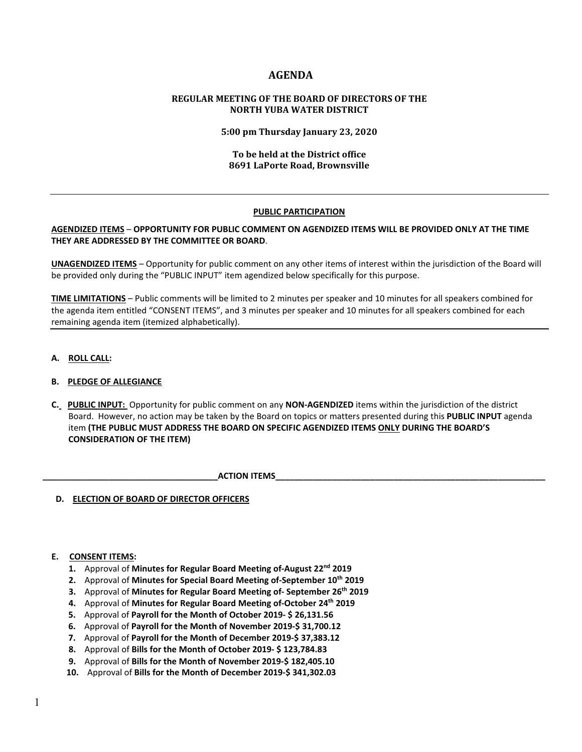# **AGENDA**

# **REGULAR MEETING OF THE BOARD OF DIRECTORS OF THE NORTH YUBA WATER DISTRICT**

**5:00 pm Thursday January 23, 2020**

# **To be held at the District office 8691 LaPorte Road, Brownsville**

## **PUBLIC PARTICIPATION**

## **AGENDIZED ITEMS** – **OPPORTUNITY FOR PUBLIC COMMENT ON AGENDIZED ITEMS WILL BE PROVIDED ONLY AT THE TIME THEY ARE ADDRESSED BY THE COMMITTEE OR BOARD**.

**UNAGENDIZED ITEMS** – Opportunity for public comment on any other items of interest within the jurisdiction of the Board will be provided only during the "PUBLIC INPUT" item agendized below specifically for this purpose.

**TIME LIMITATIONS** – Public comments will be limited to 2 minutes per speaker and 10 minutes for all speakers combined for the agenda item entitled "CONSENT ITEMS", and 3 minutes per speaker and 10 minutes for all speakers combined for each remaining agenda item (itemized alphabetically).

**A. ROLL CALL:** 

# **B. PLEDGE OF ALLEGIANCE**

 **C. PUBLIC INPUT:** Opportunity for public comment on any **NON-AGENDIZED** items within the jurisdiction of the district Board. However, no action may be taken by the Board on topics or matters presented during this **PUBLIC INPUT** agenda item **(THE PUBLIC MUST ADDRESS THE BOARD ON SPECIFIC AGENDIZED ITEMS ONLY DURING THE BOARD'S CONSIDERATION OF THE ITEM)**

 **\_\_\_\_\_\_\_\_\_\_\_\_\_\_\_\_\_\_\_\_\_\_\_\_\_\_\_\_\_\_\_\_\_\_\_\_\_ACTION ITEMS\_\_\_\_\_\_\_\_\_\_\_\_\_\_\_\_\_\_\_\_\_\_\_\_\_\_\_\_\_\_\_\_\_\_\_\_\_\_\_\_\_\_\_\_\_\_\_\_\_\_\_\_\_\_\_\_\_**

 **D. ELECTION OF BOARD OF DIRECTOR OFFICERS**

#### **E. CONSENT ITEMS:**

- **1.** Approval of **Minutes for Regular Board Meeting of-August 22nd 2019**
- **2.** Approval of **Minutes for Special Board Meeting of-September 10th 2019**
- **3.** Approval of **Minutes for Regular Board Meeting of- September 26th 2019**
- **4.** Approval of **Minutes for Regular Board Meeting of-October 24th 2019**
- **5.** Approval of **Payroll for the Month of October 2019- \$ 26,131.56**
- **6.** Approval of **Payroll for the Month of November 2019-\$ 31,700.12**
- **7.** Approval of **Payroll for the Month of December 2019-\$ 37,383.12**
- **8.** Approval of **Bills for the Month of October 2019- \$ 123,784.83**
- **9.** Approval of **Bills for the Month of November 2019-\$ 182,405.10**
- **10.** Approval of **Bills for the Month of December 2019-\$ 341,302.03**